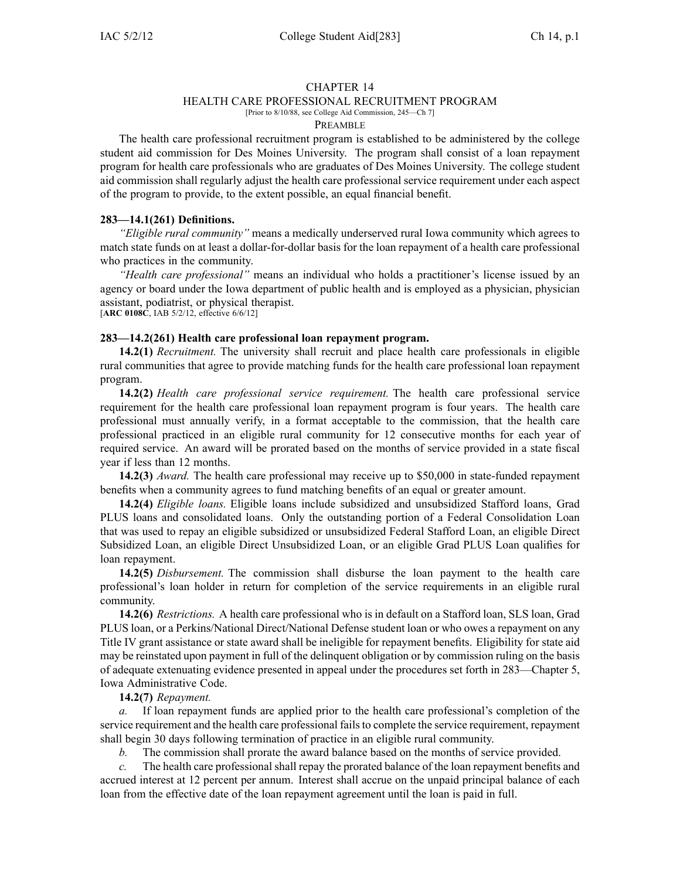#### CHAPTER 14

## HEALTH CARE PROFESSIONAL RECRUITMENT PROGRAM

[Prior to 8/10/88, see College Aid Commission, 245—Ch 7]

#### PREAMBLE

The health care professional recruitment program is established to be administered by the college student aid commission for Des Moines University. The program shall consist of <sup>a</sup> loan repaymen<sup>t</sup> program for health care professionals who are graduates of Des Moines University. The college student aid commission shall regularly adjust the health care professional service requirement under each aspec<sup>t</sup> of the program to provide, to the extent possible, an equal financial benefit.

### **283—14.1(261) Definitions.**

*"Eligible rural community"* means <sup>a</sup> medically underserved rural Iowa community which agrees to match state funds on at least <sup>a</sup> dollar-for-dollar basis for the loan repaymen<sup>t</sup> of <sup>a</sup> health care professional who practices in the community.

*"Health care professional"* means an individual who holds <sup>a</sup> practitioner's license issued by an agency or board under the Iowa department of public health and is employed as <sup>a</sup> physician, physician assistant, podiatrist, or physical therapist. [**ARC 0108C**, IAB 5/2/12, effective 6/6/12]

### **283—14.2(261) Health care professional loan repayment program.**

**14.2(1)** *Recruitment.* The university shall recruit and place health care professionals in eligible rural communities that agree to provide matching funds for the health care professional loan repaymen<sup>t</sup> program.

**14.2(2)** *Health care professional service requirement.* The health care professional service requirement for the health care professional loan repaymen<sup>t</sup> program is four years. The health care professional must annually verify, in <sup>a</sup> format acceptable to the commission, that the health care professional practiced in an eligible rural community for 12 consecutive months for each year of required service. An award will be prorated based on the months of service provided in <sup>a</sup> state fiscal year if less than 12 months.

**14.2(3)** *Award.* The health care professional may receive up to \$50,000 in state-funded repaymen<sup>t</sup> benefits when <sup>a</sup> community agrees to fund matching benefits of an equal or greater amount.

**14.2(4)** *Eligible loans.* Eligible loans include subsidized and unsubsidized Stafford loans, Grad PLUS loans and consolidated loans. Only the outstanding portion of <sup>a</sup> Federal Consolidation Loan that was used to repay an eligible subsidized or unsubsidized Federal Stafford Loan, an eligible Direct Subsidized Loan, an eligible Direct Unsubsidized Loan, or an eligible Grad PLUS Loan qualifies for loan repayment.

**14.2(5)** *Disbursement.* The commission shall disburse the loan paymen<sup>t</sup> to the health care professional's loan holder in return for completion of the service requirements in an eligible rural community.

**14.2(6)** *Restrictions.* A health care professional who is in default on <sup>a</sup> Stafford loan, SLS loan, Grad PLUS loan, or <sup>a</sup> Perkins/National Direct/National Defense student loan or who owes <sup>a</sup> repaymen<sup>t</sup> on any Title IV gran<sup>t</sup> assistance or state award shall be ineligible for repaymen<sup>t</sup> benefits. Eligibility for state aid may be reinstated upon paymen<sup>t</sup> in full of the delinquent obligation or by commission ruling on the basis of adequate extenuating evidence presented in appeal under the procedures set forth in 283—Chapter 5, Iowa Administrative Code.

## **14.2(7)** *Repayment.*

*a.* If loan repaymen<sup>t</sup> funds are applied prior to the health care professional's completion of the service requirement and the health care professional fails to complete the service requirement, repayment shall begin 30 days following termination of practice in an eligible rural community.

*b.* The commission shall prorate the award balance based on the months of service provided.

*c.* The health care professional shall repay the prorated balance of the loan repaymen<sup>t</sup> benefits and accrued interest at 12 percen<sup>t</sup> per annum. Interest shall accrue on the unpaid principal balance of each loan from the effective date of the loan repaymen<sup>t</sup> agreemen<sup>t</sup> until the loan is paid in full.